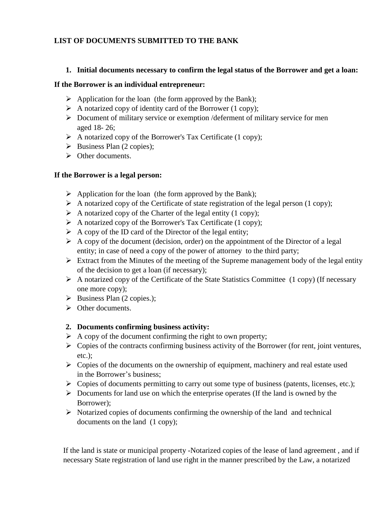## **LIST OF DOCUMENTS SUBMITTED TO THE BANK**

#### **1. Initial documents necessary to confirm the legal status of the Borrower and get a loan:**

#### **If the Borrower is an individual entrepreneur:**

- $\triangleright$  Application for the loan (the form approved by the Bank);
- $\triangleright$  A notarized copy of identity card of the Borrower (1 copy);
- $\triangleright$  Document of military service or exemption /deferment of military service for men aged 18- 26;
- $\triangleright$  A notarized copy of the Borrower's Tax Certificate (1 copy);
- $\triangleright$  Business Plan (2 copies);
- $\triangleright$  Other documents.

### **If the Borrower is a legal person:**

- $\triangleright$  Application for the loan (the form approved by the Bank);
- $\triangleright$  A notarized copy of the Certificate of state registration of the legal person (1 copy);
- $\triangleright$  A notarized copy of the Charter of the legal entity (1 copy);
- $\triangleright$  A notarized copy of the Borrower's Tax Certificate (1 copy);
- $\triangleright$  A copy of the ID card of the Director of the legal entity;
- $\triangleright$  A copy of the document (decision, order) on the appointment of the Director of a legal entity; in case of need a copy of the power of attorney to the third party;
- $\triangleright$  Extract from the Minutes of the meeting of the Supreme management body of the legal entity of the decision to get a loan (if necessary);
- $\triangleright$  A notarized copy of the Certificate of the State Statistics Committee (1 copy) (If necessary one more copy);
- $\triangleright$  Business Plan (2 copies.);
- $\triangleright$  Other documents.

### **2. Documents confirming business activity:**

- $\triangleright$  A copy of the document confirming the right to own property;
- $\triangleright$  Copies of the contracts confirming business activity of the Borrower (for rent, joint ventures, etc.);
- $\triangleright$  Copies of the documents on the ownership of equipment, machinery and real estate used in the Borrower's business;
- $\triangleright$  Copies of documents permitting to carry out some type of business (patents, licenses, etc.);
- $\triangleright$  Documents for land use on which the enterprise operates (If the land is owned by the Borrower);
- $\triangleright$  Notarized copies of documents confirming the ownership of the land and technical documents on the land (1 copy);

If the land is state or municipal property -Notarized copies of the lease of land agreement , and if necessary State registration of land use right in the manner prescribed by the Law, a notarized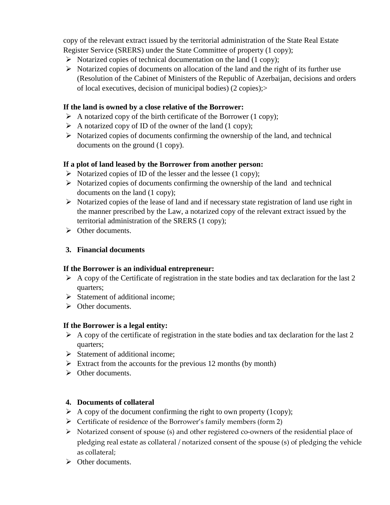copy of the relevant extract issued by the territorial administration of the State Real Estate Register Service (SRERS) under the State Committee of property (1 copy);

- $\triangleright$  Notarized copies of technical documentation on the land (1 copy);
- $\triangleright$  Notarized copies of documents on allocation of the land and the right of its further use (Resolution of the Cabinet of Ministers of the Republic of Azerbaijan, decisions and orders of local executives, decision of municipal bodies) (2 copies);>

### **If the land is owned by a close relative of the Borrower:**

- $\triangleright$  A notarized copy of the birth certificate of the Borrower (1 copy);
- $\triangleright$  A notarized copy of ID of the owner of the land (1 copy);
- $\triangleright$  Notarized copies of documents confirming the ownership of the land, and technical documents on the ground (1 copy).

### **If a plot of land leased by the Borrower from another person:**

- $\triangleright$  Notarized copies of ID of the lesser and the lessee (1 copy);
- $\triangleright$  Notarized copies of documents confirming the ownership of the land and technical documents on the land (1 copy);
- $\triangleright$  Notarized copies of the lease of land and if necessary state registration of land use right in the manner prescribed by the Law, a notarized copy of the relevant extract issued by the territorial administration of the SRERS (1 copy);
- So Other documents.

## **3. Financial documents**

### **If the Borrower is an individual entrepreneur:**

- $\triangleright$  A copy of the Certificate of registration in the state bodies and tax declaration for the last 2 quarters;
- $\triangleright$  Statement of additional income;
- $\triangleright$  Other documents.

### **If the Borrower is a legal entity:**

- $\triangleright$  A copy of the certificate of registration in the state bodies and tax declaration for the last 2 quarters;
- $\triangleright$  Statement of additional income;
- $\triangleright$  Extract from the accounts for the previous 12 months (by month)
- $\triangleright$  Other documents.

### **4. Documents of collateral**

- $\triangleright$  A copy of the document confirming the right to own property (1copy);
- $\triangleright$  Certificate of residence of the Borrower's family members (form 2)
- Notarized consent of spouse (s) and other registered co-owners of the residential place of pledging real estate as collateral / notarized consent of the spouse (s) of pledging the vehicle as collateral;
- $\triangleright$  Other documents.